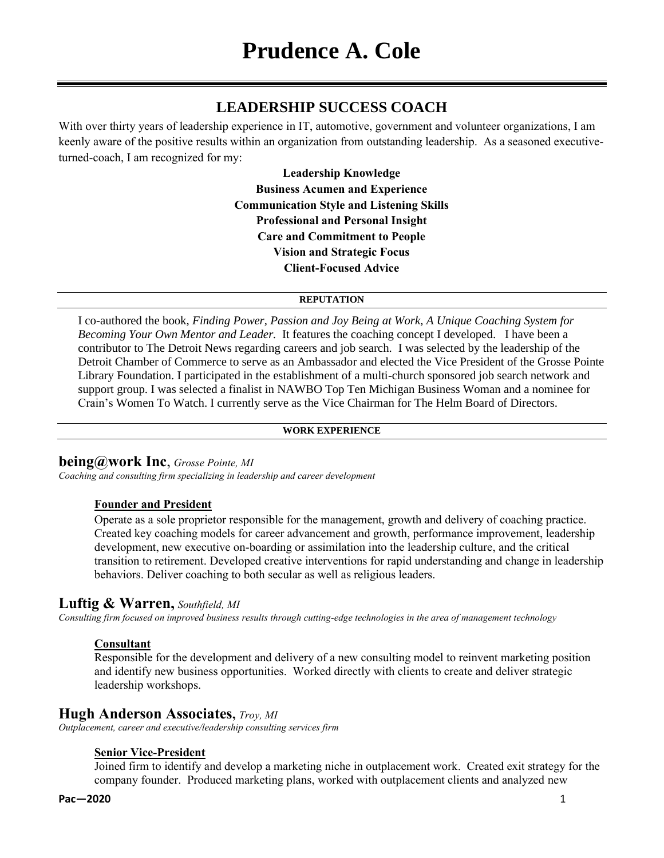# **LEADERSHIP SUCCESS COACH**

With over thirty years of leadership experience in IT, automotive, government and volunteer organizations, I am keenly aware of the positive results within an organization from outstanding leadership. As a seasoned executiveturned-coach, I am recognized for my:

> **Leadership Knowledge Business Acumen and Experience Communication Style and Listening Skills Professional and Personal Insight Care and Commitment to People Vision and Strategic Focus Client-Focused Advice**

### **REPUTATION**

I co-authored the book, *Finding Power, Passion and Joy Being at Work, A Unique Coaching System for Becoming Your Own Mentor and Leader.* It features the coaching concept I developed. I have been a contributor to The Detroit News regarding careers and job search. I was selected by the leadership of the Detroit Chamber of Commerce to serve as an Ambassador and elected the Vice President of the Grosse Pointe Library Foundation. I participated in the establishment of a multi-church sponsored job search network and support group. I was selected a finalist in NAWBO Top Ten Michigan Business Woman and a nominee for Crain's Women To Watch. I currently serve as the Vice Chairman for The Helm Board of Directors.

### **WORK EXPERIENCE**

## **being@work Inc**, *Grosse Pointe, MI*

*Coaching and consulting firm specializing in leadership and career development*

## **Founder and President**

Operate as a sole proprietor responsible for the management, growth and delivery of coaching practice. Created key coaching models for career advancement and growth, performance improvement, leadership development, new executive on-boarding or assimilation into the leadership culture, and the critical transition to retirement. Developed creative interventions for rapid understanding and change in leadership behaviors. Deliver coaching to both secular as well as religious leaders.

# **Luftig & Warren,** *Southfield, MI*

*Consulting firm focused on improved business results through cutting-edge technologies in the area of management technology*

## **Consultant**

Responsible for the development and delivery of a new consulting model to reinvent marketing position and identify new business opportunities. Worked directly with clients to create and deliver strategic leadership workshops.

## **Hugh Anderson Associates,** *Troy, MI*

*Outplacement, career and executive/leadership consulting services firm*

### **Senior Vice-President**

Joined firm to identify and develop a marketing niche in outplacement work. Created exit strategy for the company founder. Produced marketing plans, worked with outplacement clients and analyzed new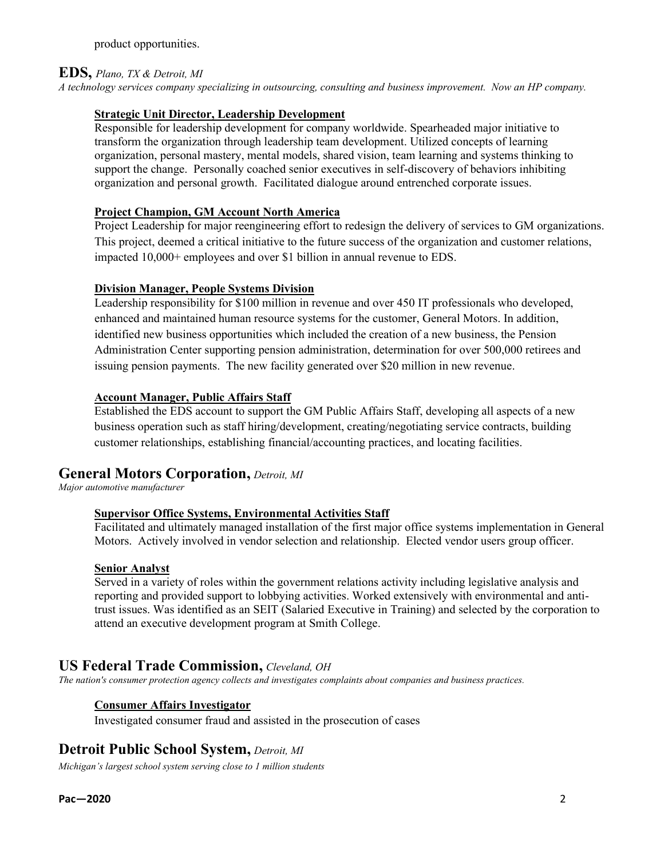product opportunities.

### **EDS,** *Plano, TX & Detroit, MI*

*A technology services company specializing in outsourcing, consulting and business improvement. Now an HP company.*

### **Strategic Unit Director, Leadership Development**

Responsible for leadership development for company worldwide. Spearheaded major initiative to transform the organization through leadership team development. Utilized concepts of learning organization, personal mastery, mental models, shared vision, team learning and systems thinking to support the change. Personally coached senior executives in self-discovery of behaviors inhibiting organization and personal growth. Facilitated dialogue around entrenched corporate issues.

### **Project Champion, GM Account North America**

Project Leadership for major reengineering effort to redesign the delivery of services to GM organizations. This project, deemed a critical initiative to the future success of the organization and customer relations, impacted 10,000+ employees and over \$1 billion in annual revenue to EDS.

### **Division Manager, People Systems Division**

Leadership responsibility for \$100 million in revenue and over 450 IT professionals who developed, enhanced and maintained human resource systems for the customer, General Motors. In addition, identified new business opportunities which included the creation of a new business, the Pension Administration Center supporting pension administration, determination for over 500,000 retirees and issuing pension payments. The new facility generated over \$20 million in new revenue.

### **Account Manager, Public Affairs Staff**

Established the EDS account to support the GM Public Affairs Staff, developing all aspects of a new business operation such as staff hiring/development, creating/negotiating service contracts, building customer relationships, establishing financial/accounting practices, and locating facilities.

# **General Motors Corporation,** *Detroit, MI*

*Major automotive manufacturer*

### **Supervisor Office Systems, Environmental Activities Staff**

Facilitated and ultimately managed installation of the first major office systems implementation in General Motors. Actively involved in vendor selection and relationship. Elected vendor users group officer.

### **Senior Analyst**

Served in a variety of roles within the government relations activity including legislative analysis and reporting and provided support to lobbying activities. Worked extensively with environmental and antitrust issues. Was identified as an SEIT (Salaried Executive in Training) and selected by the corporation to attend an executive development program at Smith College.

# **US Federal Trade Commission,** *Cleveland, OH*

*The nation's consumer protection agency collects and investigates complaints about companies and business practices.*

### **Consumer Affairs Investigator**

Investigated consumer fraud and assisted in the prosecution of cases

# **Detroit Public School System,** *Detroit, MI*

*Michigan's largest school system serving close to 1 million students*